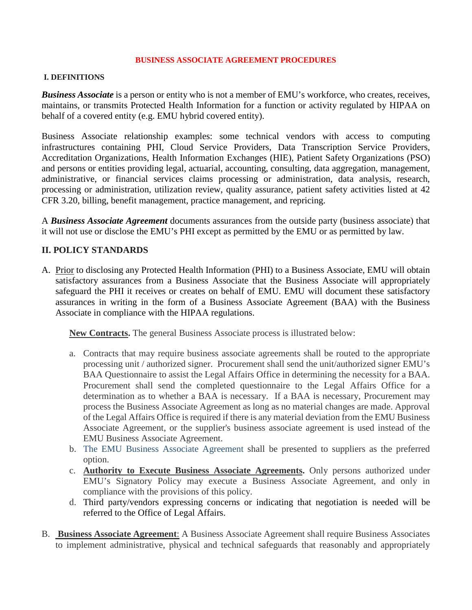### **BUSINESS ASSOCIATE AGREEMENT PROCEDURES**

## **I. DEFINITIONS**

*Business Associate* is a person or entity who is not a member of EMU's workforce, who creates, receives, maintains, or transmits Protected Health Information for a function or activity regulated by HIPAA on behalf of a covered entity (e.g. EMU hybrid covered entity).

Business Associate relationship examples: some technical vendors with access to computing infrastructures containing PHI, Cloud Service Providers, Data Transcription Service Providers, Accreditation Organizations, Health Information Exchanges (HIE), Patient Safety Organizations (PSO) and persons or entities providing legal, actuarial, accounting, consulting, data aggregation, management, administrative, or financial services claims processing or administration, data analysis, research, processing or administration, utilization review, quality assurance, patient safety activities listed at 42 CFR 3.20, billing, benefit management, practice management, and repricing.

A *Business Associate Agreement* documents assurances from the outside party (business associate) that it will not use or disclose the EMU's PHI except as permitted by the EMU or as permitted by law.

# **II. POLICY STANDARDS**

A. Prior to disclosing any Protected Health Information (PHI) to a Business Associate, EMU will obtain satisfactory assurances from a Business Associate that the Business Associate will appropriately safeguard the PHI it receives or creates on behalf of EMU. EMU will document these satisfactory assurances in writing in the form of a Business Associate Agreement (BAA) with the Business Associate in compliance with the HIPAA regulations.

**New Contracts.** The general Business Associate process is illustrated below:

- a. Contracts that may require business associate agreements shall be routed to the appropriate processing unit / authorized signer. Procurement shall send the unit/authorized signer EMU's BAA Questionnaire to assist the Legal Affairs Office in determining the necessity for a BAA. Procurement shall send the completed questionnaire to the Legal Affairs Office for a determination as to whether a BAA is necessary. If a BAA is necessary, Procurement may process the Business Associate Agreement as long as no material changes are made. Approval of the Legal Affairs Office is required if there is any material deviation from the EMU Business Associate Agreement, or the supplier's business associate agreement is used instead of the EMU Business Associate Agreement.
- b. The EMU Business Associate Agreement shall be presented to suppliers as the preferred option.
- c. **Authority to Execute Business Associate Agreements.** Only persons authorized under EMU's Signatory Policy may execute a Business Associate Agreement, and only in compliance with the provisions of this policy.
- d. Third party/vendors expressing concerns or indicating that negotiation is needed will be referred to the Office of Legal Affairs.
- B. **Business Associate Agreement**: A Business Associate Agreement shall require Business Associates to implement administrative, physical and technical safeguards that reasonably and appropriately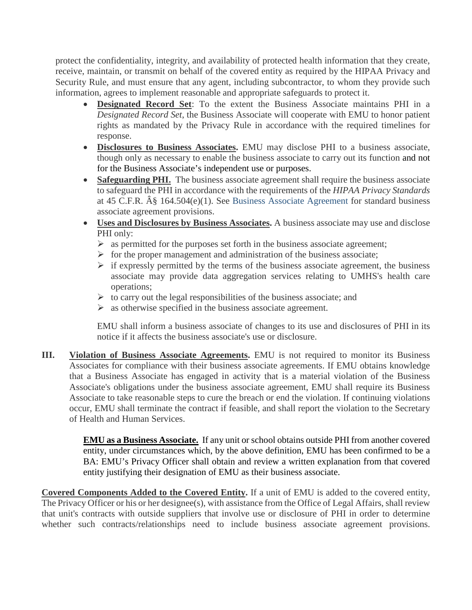protect the confidentiality, integrity, and availability of protected health information that they create, receive, maintain, or transmit on behalf of the covered entity as required by the HIPAA Privacy and Security Rule, and must ensure that any agent, including subcontractor, to whom they provide such information, agrees to implement reasonable and appropriate safeguards to protect it.

- **Designated Record Set**: To the extent the Business Associate maintains PHI in a *Designated Record Set*, the Business Associate will cooperate with EMU to honor patient rights as mandated by the Privacy Rule in accordance with the required timelines for response.
- **Disclosures to Business Associates.** EMU may disclose PHI to a business associate, though only as necessary to enable the business associate to carry out its function and not for the Business Associate's independent use or purposes.
- **Safeguarding PHI.** The business associate agreement shall require the business associate to safeguard the PHI in accordance with the requirements of the *HIPAA Privacy Standards* at 45 C.F.R.  $\hat{A}\$  164.504(e)(1). See Business Associate Agreement for standard business associate agreement provisions.
- **Uses and Disclosures by Business Associates.** A business associate may use and disclose PHI only:
	- $\triangleright$  as permitted for the purposes set forth in the business associate agreement;
	- $\triangleright$  for the proper management and administration of the business associate;
	- $\triangleright$  if expressly permitted by the terms of the business associate agreement, the business associate may provide data aggregation services relating to UMHS's health care operations;
	- $\triangleright$  to carry out the legal responsibilities of the business associate; and
	- $\triangleright$  as otherwise specified in the business associate agreement.

EMU shall inform a business associate of changes to its use and disclosures of PHI in its notice if it affects the business associate's use or disclosure.

**III. Violation of Business Associate Agreements.** EMU is not required to monitor its Business Associates for compliance with their business associate agreements. If EMU obtains knowledge that a Business Associate has engaged in activity that is a material violation of the Business Associate's obligations under the business associate agreement, EMU shall require its Business Associate to take reasonable steps to cure the breach or end the violation. If continuing violations occur, EMU shall terminate the contract if feasible, and shall report the violation to the Secretary of Health and Human Services.

> **EMU as a Business Associate.** If any unit or school obtains outside PHI from another covered entity, under circumstances which, by the above definition, EMU has been confirmed to be a BA: EMU's Privacy Officer shall obtain and review a written explanation from that covered entity justifying their designation of EMU as their business associate.

**Covered Components Added to the Covered Entity.** If a unit of EMU is added to the covered entity, The Privacy Officer or his or her designee(s), with assistance from the Office of Legal Affairs, shall review that unit's contracts with outside suppliers that involve use or disclosure of PHI in order to determine whether such contracts/relationships need to include business associate agreement provisions.